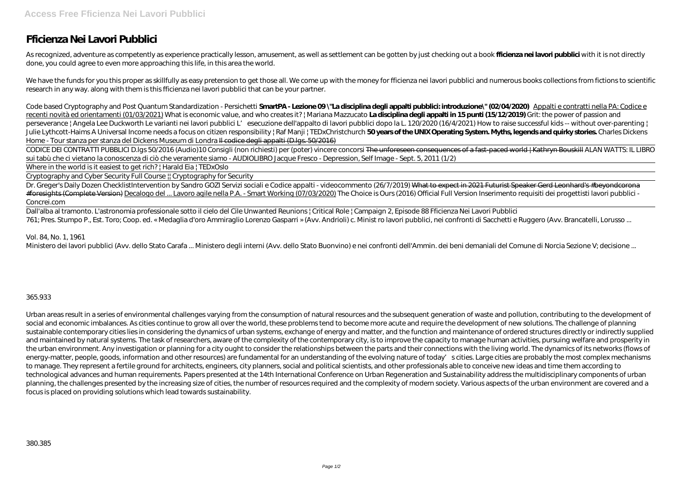## **Fficienza Nei Lavori Pubblici**

As recognized, adventure as competently as experience practically lesson, amusement, as well as settlement can be gotten by just checking out a book **fficienza nei lavori pubblici** with it is not directly done, you could agree to even more approaching this life, in this area the world.

We have the funds for you this proper as skillfully as easy pretension to get those all. We come up with the money for fficienza nei lavori pubblici and numerous books collections from fictions to scientific research in any way. along with them is this fficienza nei lavori pubblici that can be your partner.

*Code based Cryptography and Post Quantum Standardization - Persichetti* **SmartPA - Lezione 09 \"La disciplina degli appalti pubblici: introduzione\" (02/04/2020)** Appalti e contratti nella PA: Codice e recenti novità ed orientamenti (01/03/2021) *What is economic value, and who creates it? | Mariana Mazzucato* **La disciplina degli appalti in 15 punti (15/12/2019)** *Grit: the power of passion and* perseverance *| Angela Lee Duckworth* Le varianti nei lavori pubblici L'esecuzione dell'appalto di lavori pubblici dopo la L. 120/2020 (16/4/2021) How to raise successful kids -- without over-parenting | Julie Lythcott-Haims A Universal Income needs a focus on citizen responsibility | Raf Manji | TEDxChristchurch **50 years of the UNIX Operating System. Myths, legends and quirky stories.** *Charles Dickens Home - Tour stanza per stanza del Dickens Museum di Londra* Il codice degli appalti (D.lgs. 50/2016)

Dall'alba al tramonto. L'astronomia professionale sotto il cielo del Cile Unwanted Reunions | Critical Role | Campaign 2, Episode 88 *Fficienza Nei Lavori Pubblici* 761; Pres. Stumpo P., Est. Toro; Coop. ed. « Medaglia d'oro Ammiraglio Lorenzo Gasparri » (Avv. Andrioli) c. Minist ro lavori pubblici, nei confronti di Sacchetti e Ruggero (Avv. Brancatelli, Lorusso ...

CODICE DEI CONTRATTI PUBBLICI D.lgs 50/2016 (Audio)*10 Consigli (non richiesti) per (poter) vincere concorsi* The unforeseen consequences of a fast-paced world | Kathryn Bouskill *ALAN WATTS: IL LIBRO sui tabù che ci vietano la conoscenza di ciò che veramente siamo - AUDIOLIBRO Jacque Fresco - Depression, Self Image - Sept. 5, 2011 (1/2)*

Where in the world is it easiest to get rich? | Harald Eia | TEDxOslo

Cryptography and Cyber Security Full Course || Cryptography for Security

Dr. Greger's Daily Dozen Checklist*Intervention by Sandro GOZI Servizi sociali e Codice appalti - videocommento (26/7/2019)* What to expect in 2021 Futurist Speaker Gerd Leonhard's #beyondcorona #foresights (Complete Version) Decalogo del ... Lavoro agile nella P.A. - Smart Working (07/03/2020) The Choice is Ours (2016) Official Full Version *Inserimento requisiti dei progettisti lavori pubblici - Concrei.com*

## *Vol. 84, No. 1, 1961*

Ministero dei lavori pubblici (Avv. dello Stato Carafa ... Ministero degli interni (Avv. dello Stato Buonvino) e nei confronti dell'Ammin. dei beni demaniali del Comune di Norcia Sezione V; decisione ...

## 365.933

Urban areas result in a series of environmental challenges varying from the consumption of natural resources and the subsequent generation of waste and pollution, contributing to the development of social and economic imbalances. As cities continue to grow all over the world, these problems tend to become more acute and require the development of new solutions. The challenge of planning sustainable contemporary cities lies in considering the dynamics of urban systems, exchange of energy and matter, and the function and maintenance of ordered structures directly or indirectly supplied and maintained by natural systems. The task of researchers, aware of the complexity of the contemporary city, is to improve the capacity to manage human activities, pursuing welfare and prosperity in the urban environment. Any investigation or planning for a city ought to consider the relationships between the parts and their connections with the living world. The dynamics of its networks (flows of energy-matter, people, goods, information and other resources) are fundamental for an understanding of the evolving nature of today' scities. Large cities are probably the most complex mechanisms to manage. They represent a fertile ground for architects, engineers, city planners, social and political scientists, and other professionals able to conceive new ideas and time them according to technological advances and human requirements. Papers presented at the 14th International Conference on Urban Regeneration and Sustainability address the multidisciplinary components of urban planning, the challenges presented by the increasing size of cities, the number of resources required and the complexity of modern society. Various aspects of the urban environment are covered and a focus is placed on providing solutions which lead towards sustainability.